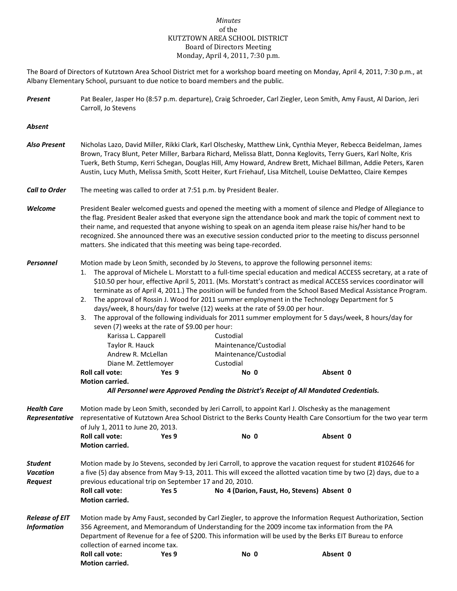## *Minutes* of the KUTZTOWN AREA SCHOOL DISTRICT Board of Directors Meeting Monday, April 4, 2011, 7:30 p.m.

The Board of Directors of Kutztown Area School District met for a workshop board meeting on Monday, April 4, 2011, 7:30 p.m., at Albany Elementary School, pursuant to due notice to board members and the public.

*Present* Pat Bealer, Jasper Ho (8:57 p.m. departure), Craig Schroeder, Carl Ziegler, Leon Smith, Amy Faust, Al Darion, Jeri Carroll, Jo Stevens

*Absent*

- *Also Present* Nicholas Lazo, David Miller, Rikki Clark, Karl Olschesky, Matthew Link, Cynthia Meyer, Rebecca Beidelman, James Brown, Tracy Blunt, Peter Miller, Barbara Richard, Melissa Blatt, Donna Keglovits, Terry Guers, Karl Nolte, Kris Tuerk, Beth Stump, Kerri Schegan, Douglas Hill, Amy Howard, Andrew Brett, Michael Billman, Addie Peters, Karen Austin, Lucy Muth, Melissa Smith, Scott Heiter, Kurt Friehauf, Lisa Mitchell, Louise DeMatteo, Claire Kempes
- *Call to Order* The meeting was called to order at 7:51 p.m. by President Bealer.
- *Welcome* President Bealer welcomed guests and opened the meeting with a moment of silence and Pledge of Allegiance to the flag. President Bealer asked that everyone sign the attendance book and mark the topic of comment next to their name, and requested that anyone wishing to speak on an agenda item please raise his/her hand to be recognized. She announced there was an executive session conducted prior to the meeting to discuss personnel matters. She indicated that this meeting was being tape-recorded.

## *Personnel* Motion made by Leon Smith, seconded by Jo Stevens, to approve the following personnel items:

- 1. The approval of Michele L. Morstatt to a full-time special education and medical ACCESS secretary, at a rate of \$10.50 per hour, effective April 5, 2011. (Ms. Morstatt's contract as medical ACCESS services coordinator will terminate as of April 4, 2011.) The position will be funded from the School Based Medical Assistance Program.
- 2. The approval of Rossin J. Wood for 2011 summer employment in the Technology Department for 5 days/week, 8 hours/day for twelve (12) weeks at the rate of \$9.00 per hour.
- 3. The approval of the following individuals for 2011 summer employment for 5 days/week, 8 hours/day for seven (7) weeks at the rate of \$9.00 per hour:

| <b>Roll call vote:</b> | Yes 9 | No 0                  | Absent 0 |  |
|------------------------|-------|-----------------------|----------|--|
| Diane M. Zettlemover   |       | Custodial             |          |  |
| Andrew R. McLellan     |       | Maintenance/Custodial |          |  |
| Taylor R. Hauck        |       | Maintenance/Custodial |          |  |
| Karissa L. Capparell   |       | Custodial             |          |  |

**Motion carried.**

*All Personnel were Approved Pending the District's Receipt of All Mandated Credentials.*

| <b>Health Care</b><br>Representative                | Motion made by Leon Smith, seconded by Jeri Carroll, to appoint Karl J. Olschesky as the management<br>representative of Kutztown Area School District to the Berks County Health Care Consortium for the two year term                                                                                                                                           |       |                                            |          |  |  |  |  |
|-----------------------------------------------------|-------------------------------------------------------------------------------------------------------------------------------------------------------------------------------------------------------------------------------------------------------------------------------------------------------------------------------------------------------------------|-------|--------------------------------------------|----------|--|--|--|--|
|                                                     | of July 1, 2011 to June 20, 2013.                                                                                                                                                                                                                                                                                                                                 |       |                                            |          |  |  |  |  |
|                                                     | <b>Roll call vote:</b>                                                                                                                                                                                                                                                                                                                                            | Yes 9 | No 0                                       | Absent 0 |  |  |  |  |
|                                                     | <b>Motion carried.</b>                                                                                                                                                                                                                                                                                                                                            |       |                                            |          |  |  |  |  |
| <b>Student</b><br><b>Vacation</b><br><b>Request</b> | Motion made by Jo Stevens, seconded by Jeri Carroll, to approve the vacation request for student #102646 for<br>a five (5) day absence from May 9-13, 2011. This will exceed the allotted vacation time by two (2) days, due to a<br>previous educational trip on September 17 and 20, 2010.                                                                      |       |                                            |          |  |  |  |  |
|                                                     | <b>Roll call vote:</b><br><b>Motion carried.</b>                                                                                                                                                                                                                                                                                                                  | Yes 5 | No 4 (Darion, Faust, Ho, Stevens) Absent 0 |          |  |  |  |  |
| <b>Release of EIT</b><br><b>Information</b>         | Motion made by Amy Faust, seconded by Carl Ziegler, to approve the Information Request Authorization, Section<br>356 Agreement, and Memorandum of Understanding for the 2009 income tax information from the PA<br>Department of Revenue for a fee of \$200. This information will be used by the Berks EIT Bureau to enforce<br>collection of earned income tax. |       |                                            |          |  |  |  |  |
|                                                     | <b>Roll call vote:</b>                                                                                                                                                                                                                                                                                                                                            | Yes 9 | No 0                                       | Absent 0 |  |  |  |  |
|                                                     | <b>Motion carried.</b>                                                                                                                                                                                                                                                                                                                                            |       |                                            |          |  |  |  |  |